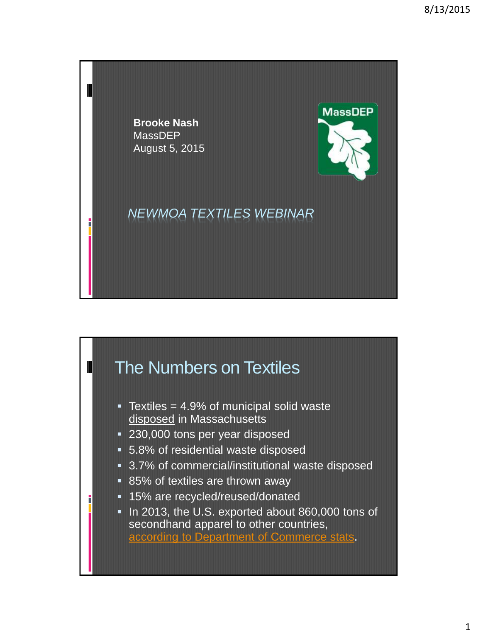

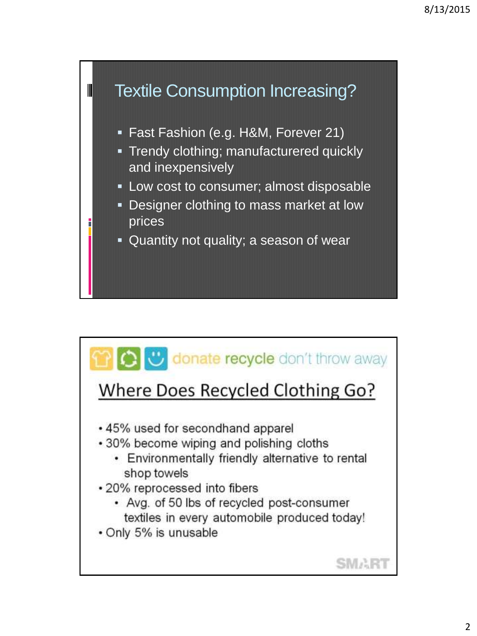

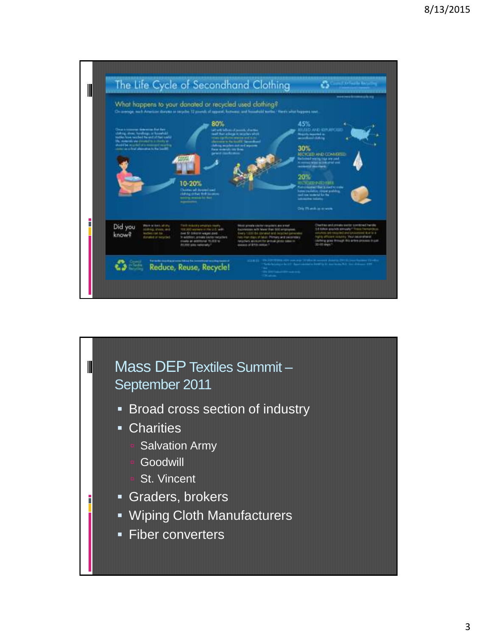

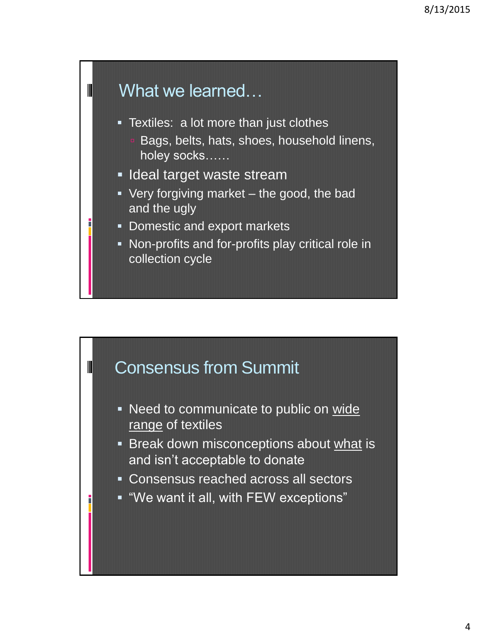

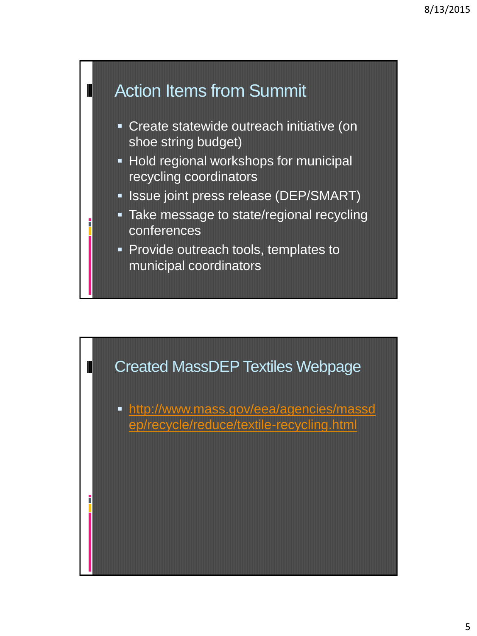

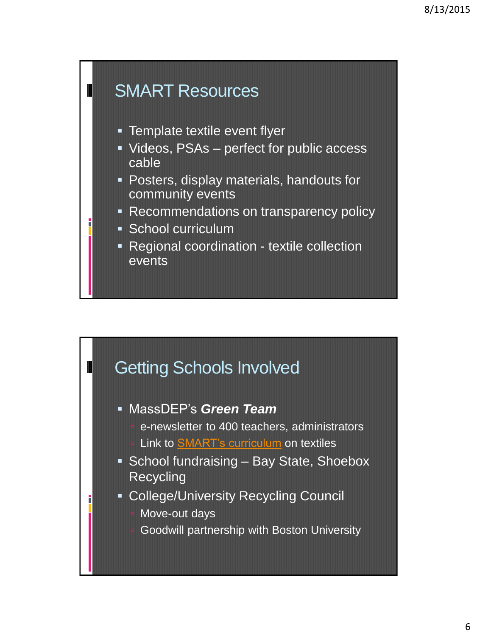

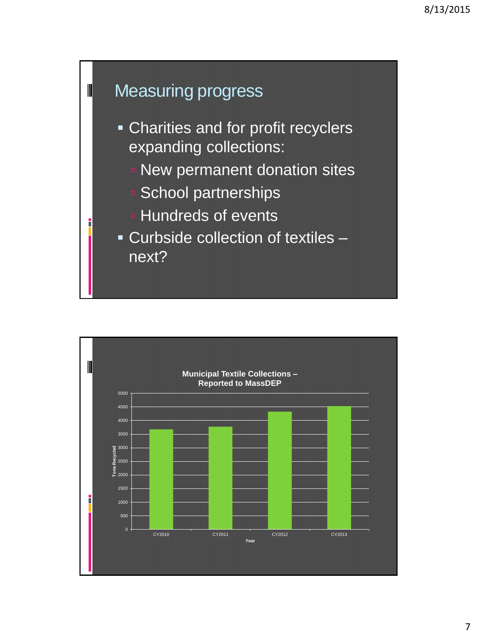

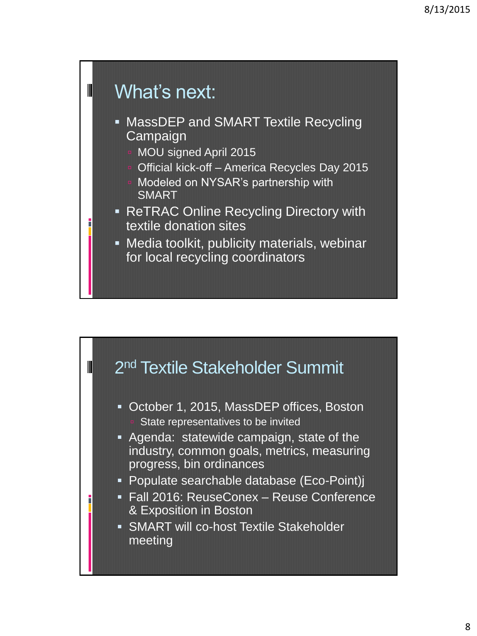